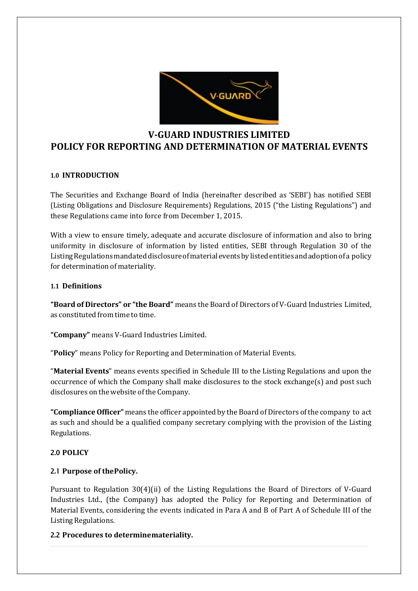

# **V-GUARD INDUSTRIES LIMITED POLICY FOR REPORTING AND DETERMINATION OF MATERIAL EVENTS**

### **1.0 INTRODUCTION**

The Securities and Exchange Board of India (hereinafter described as 'SEBI') has notified SEBI (Listing Obligations and Disclosure Requirements) Regulations, 2015 ("the Listing Regulations") and these Regulations came into force from December 1, 2015.

With a view to ensure timely, adequate and accurate disclosure of information and also to bring uniformity in disclosure of information by listed entities, SEBI through Regulation 30 of the ListingRegulationsmandateddisclosureofmaterialeventsbylistedentitiesandadoptionofa policy for determination of materiality.

### **1.1 Definitions**

**"Board of Directors" or "the Board"** means the Board of Directors of V-Guard Industries Limited, as constituted from time to time.

**"Company"** means V-Guard Industries Limited.

"**Policy**" means Policy for Reporting and Determination of Material Events.

"**Material Events**" means events specified in Schedule III to the Listing Regulations and upon the occurrence of which the Company shall make disclosures to the stock exchange(s) and post such disclosures on the website of the Company.

"Compliance Officer" means the officer appointed by the Board of Directors of the company to act as such and should be a qualified company secretary complying with the provision of the Listing Regulations.

### 2.0 **POLICY**

### 2.1 **Purpose of thePolicy.**

Pursuant to Regulation 30(4)(ii) of the Listing Regulations the Board of Directors of V-Guard Industries Ltd., (the Company) has adopted the Policy for Reporting and Determination of Material Events, considering the events indicated in Para A and B of Part A of Schedule III of the Listing Regulations.

### 2.2 **Procedures to determinemateriality.**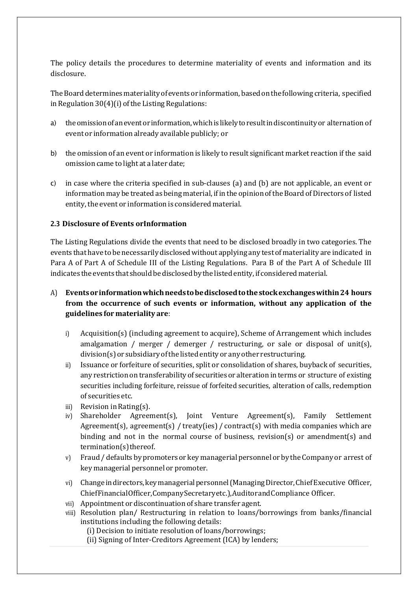The policy details the procedures to determine materiality of events and information and its disclosure.

The Board determines materiality of events or information, based on the following criteria, specified in Regulation  $30(4)(i)$  of the Listing Regulations:

- a) theomissionofaneventor information,whichislikelyto result indiscontinuityor alternation of event or information already available publicly; or
- b) the omission of an event or information is likely to result significant market reaction if the said omission came to light at a later date;
- c) in case where the criteria specified in sub-clauses (a) and (b) are not applicable, an event or information may be treated as being material, if in the opinion of the Board of Directors of listed entity, the event or information is considered material.

### 2.3 **Disclosure of Events orInformation**

The Listing Regulations divide the events that need to be disclosed broadly in two categories. The events that have to be necessarilydisclosedwithout applying any test of materiality are indicated in Para A of Part A of Schedule III of the Listing Regulations. Para B of the Part A of Schedule III indicates the events that should be disclosed by the listed entity, if considered material.

# A) **Eventsorinformationwhichneedstobedisclosedtothestockexchangeswithin24 hours from the occurrence of such events or information, without any application of the guidelines for materiality are**:

- i) Acquisition(s) (including agreement to acquire), Scheme of Arrangement which includes amalgamation / merger / demerger / restructuring, or sale or disposal of unit(s), division(s) or subsidiaryofthe listedentityor anyother restructuring.
- ii) Issuance or forfeiture of securities, split or consolidation of shares, buyback of securities, any restriction on transferability of securities or alteration in terms or structure of existing securities including forfeiture, reissue of forfeited securities, alteration of calls, redemption of securities etc.
- iii) Revision inRating(s).
- iv) Shareholder Agreement(s), Joint Venture Agreement(s), Family Settlement Agreement(s), agreement(s) / treaty(ies) / contract(s) with media companies which are binding and not in the normal course of business, revision(s) or amendment(s) and  $t$ ermination $(s)$ thereof.
- v) Fraud / defaults by promoters or key managerial personnel or by the Company or arrest of key managerial personnel or promoter.
- vi) Change in directors, key managerial personnel (Managing Director, Chief Executive Officer, ChiefFinancialOfficer,Company Secretary etc.),AuditorandCompliance Officer.
- vii) Appointment or discontinuation of share transfer agent.
- viii) Resolution plan/ Restructuring in relation to loans/borrowings from banks/financial institutions including the following details:

(i) Decision to initiate resolution of loans/borrowings;

(ii) Signing of Inter-Creditors Agreement (ICA) by lenders;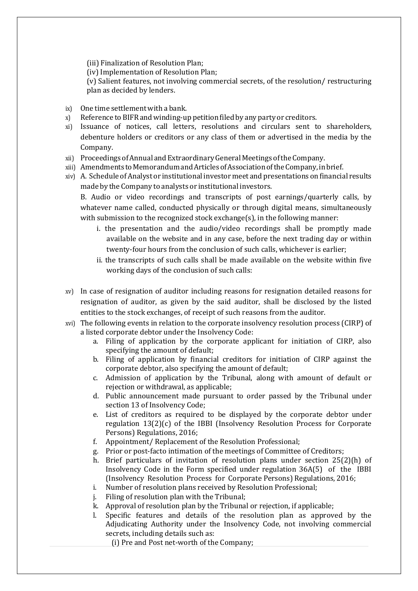(iii) Finalization of Resolution Plan;

(iv) Implementation of Resolution Plan;

(v) Salient features, not involving commercial secrets, of the resolution/ restructuring plan as decided by lenders.

- ix) One time settlement with a bank.<br>  $x$ ) Reference to BIFR and winding-up
- Reference to BIFR and winding-up petition filed by any party or creditors.
- xi) Issuance of notices, call letters, resolutions and circulars sent to shareholders, debenture holders or creditors or any class of them or advertised in the media by the Company.
- xii) Proceedings ofAnnual and Extraordinary General Meetings oftheCompany.
- xiii) Amendments to Memorandum andArticlesofAssociationoftheCompany,inbrief.
- xiv) A. Schedule ofAnalyst or institutional investor meet and presentations onfinancial results made by the Company to analysts or institutional investors.

B. Audio or video recordings and transcripts of post earnings/quarterly calls, by whatever name called, conducted physically or through digital means, simultaneously with submission to the recognized stock exchange(s), in the following manner:

- i. the presentation and the audio/video recordings shall be promptly made available on the website and in any case, before the next trading day or within twenty-four hours from the conclusion of such calls, whichever is earlier;
- ii. the transcripts of such calls shall be made available on the website within five working days of the conclusion of such calls:
- xv) In case of resignation of auditor including reasons for resignation detailed reasons for resignation of auditor, as given by the said auditor, shall be disclosed by the listed entities to the stock exchanges, of receipt of such reasons from the auditor.
- xvi) The following events in relation to the corporate insolvency resolution process (CIRP) of a listed corporate debtor under the Insolvency Code:
	- a. Filing of application by the corporate applicant for initiation of CIRP, also specifying the amount of default;
	- b. Filing of application by financial creditors for initiation of CIRP against the corporate debtor, also specifying the amount of default;
	- c. Admission of application by the Tribunal, along with amount of default or rejection or withdrawal, as applicable;
	- d. Public announcement made pursuant to order passed by the Tribunal under section 13 of Insolvency Code;
	- e. List of creditors as required to be displayed by the corporate debtor under regulation 13(2)(c) of the IBBI (Insolvency Resolution Process for Corporate Persons) Regulations, 2016;
	- f. Appointment/ Replacement of the Resolution Professional;
	- g. Prior or post-facto intimation of the meetings of Committee of Creditors;
	- h. Brief particulars of invitation of resolution plans under section 25(2)(h) of Insolvency Code in the Form specified under regulation 36A(5) of the IBBI (Insolvency Resolution Process for Corporate Persons) Regulations, 2016;
	- i. Number of resolution plans received by Resolution Professional;
	- j. Filing of resolution plan with the Tribunal;
	- k. Approval of resolution plan by the Tribunal or rejection, if applicable;<br>
	1. Specific features and details of the resolution plan as approve
	- l. Specific features and details of the resolution plan as approved by the Adjudicating Authority under the Insolvency Code, not involving commercial secrets, including details such as:
		- (i) Pre and Post net-worth of the Company;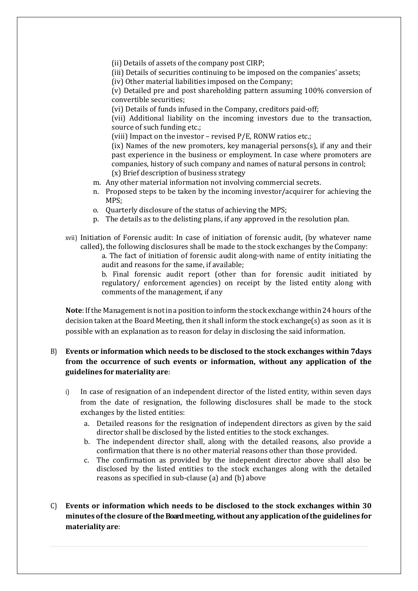(ii) Details of assets of the company post CIRP;

(iii) Details of securities continuing to be imposed on the companies' assets;

(iv) Other material liabilities imposed on the Company;

(v) Detailed pre and post shareholding pattern assuming 100% conversion of convertible securities;

(vi) Details of funds infused in the Company, creditors paid-off;

(vii) Additional liability on the incoming investors due to the transaction, source of such funding etc.;

(viii) Impact on the investor – revised P/E, RONW ratios etc.;

(ix) Names of the new promoters, key managerial persons(s), if any and their past experience in the business or employment. In case where promoters are companies, history of such company and names of natural persons in control; (x) Brief description of business strategy

- m. Any other material information not involving commercial secrets.
- n. Proposed steps to be taken by the incoming investor/acquirer for achieving the MPS;
- o. Quarterly disclosure of the status of achieving the MPS;
- p. The details as to the delisting plans, if any approved in the resolution plan.
- xvii) Initiation of Forensic audit: In case of initiation of forensic audit, (by whatever name called), the following disclosures shall be made to the stock exchanges by the Company:

a. The fact of initiation of forensic audit along-with name of entity initiating the audit and reasons for the same, if available;

b. Final forensic audit report (other than for forensic audit initiated by regulatory/ enforcement agencies) on receipt by the listed entity along with comments of the management, if any

**Note**: If the Management is not in a position to inform the stock exchange within 24 hours of the decision taken at the Board Meeting, then it shall inform the stock exchange(s) as soon as it is possible with an explanation as to reason for delay in disclosing the said information.

## B) **Events or information which needs to be disclosed to the stock exchanges within 7days from the occurrence of such events or information, without any application of the guidelines for materiality are**:

- i) In case of resignation of an independent director of the listed entity, within seven days from the date of resignation, the following disclosures shall be made to the stock exchanges by the listed entities:
	- a. Detailed reasons for the resignation of independent directors as given by the said director shall be disclosed by the listed entities to the stock exchanges.
	- b. The independent director shall, along with the detailed reasons, also provide a confirmation that there is no other material reasons other than those provided.
	- c. The confirmation as provided by the independent director above shall also be disclosed by the listed entities to the stock exchanges along with the detailed reasons as specified in sub-clause (a) and (b) above
- C) **Events or information which needs to be disclosed to the stock exchanges within 30 minutes ofthe closure ofthe Board meeting,without any application ofthe guidelines for materiality are**: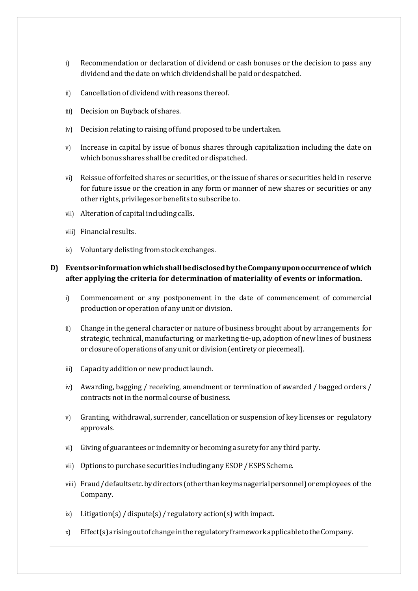- i) Recommendation or declaration of dividend or cash bonuses or the decision to pass any dividendand the date onwhich dividendshall be paidor despatched.
- ii) Cancellation of dividend with reasons thereof.
- iii) Decision on Buyback of shares.
- iv) Decision relating to raising offund proposed to be undertaken.
- v) Increase in capital by issue of bonus shares through capitalization including the date on which bonus shares shall be credited or dispatched.
- vi) Reissue of forfeited shares or securities, or the issue of shares or securities held in reserve for future issue or the creation in any form or manner of new shares or securities or any other rights, privileges or benefits to subscribe to.
- vii) Alteration of capital including calls.
- viii) Financial results.
- ix) Voluntary delisting from stock exchanges.

### **D) EventsorinformationwhichshallbedisclosedbytheCompanyuponoccurrenceof which after applying the criteria for determination of materiality of events or information.**

- i) Commencement or any postponement in the date of commencement of commercial production or operation of any unit or division.
- ii) Change in the general character or nature of business brought about by arrangements for strategic, technical, manufacturing, or marketing tie-up, adoption of new lines of business or closure of operations of any unit or division (entirety or piecemeal).
- iii) Capacity addition or new product launch.
- iv) Awarding, bagging / receiving, amendment or termination of awarded / bagged orders / contracts not in the normal course of business.
- v) Granting, withdrawal, surrender, cancellation or suspension of key licenses or regulatory approvals.
- vi) Giving of guarantees or indemnity or becoming a suretyfor any third party.
- vii) Options to purchase securities including any ESOP / ESPS Scheme.
- viii) Fraud / defaults etc.bydirectors(otherthankeymanagerialpersonnel)oremployees of the Company.
- $ix)$  Litigation(s) / dispute(s) / regulatory action(s) with impact.
- x) Effect(s)arisingoutofchangeinthe regulatory framework applicabletotheCompany.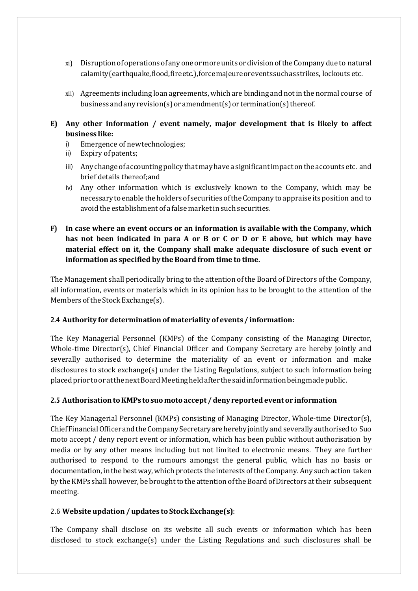- xi) Disruptionofoperations ofanyoneor more units ordivisionoftheCompanydue to natural calamity(earthquake,flood,fireetc.),forcemajeureoreventssuchasstrikes, lockouts etc.
- xii) Agreements including loan agreements,which are binding and notin the normal course of business and any revision(s) or amendment(s) or termination(s) thereof.
- **E) Any other information / event namely, major development that is likely to affect business like:**
	- i) Emergence of newtechnologies;<br>ii) Expiry of patents;
	- Expiry of patents;
	- iii) Any change of accounting policy that may have a significant impact on the accounts etc. and brief details thereof;and
	- iv) Any other information which is exclusively known to the Company, which may be necessarytoenable the holders of securities oftheCompany toappraise its position and to avoid the establishment of a false marketin such securities.

# **F) In case where an event occurs or an information is available with the Company, which has not been indicated in para A or B or C or D or E above, but which may have material effect on it, the Company shall make adequate disclosure of such event or information as specified by theBoard from time to time.**

The Management shall periodically bring to the attention of the Board of Directors of the Company, all information, events or materials which in its opinion has to be brought to the attention of the Members of the Stock Exchange(s).

### 2.4 **Authority for determination of materiality of events / information:**

The Key Managerial Personnel (KMPs) of the Company consisting of the Managing Director, Whole-time Director(s), Chief Financial Officer and Company Secretary are hereby jointly and severally authorised to determine the materiality of an event or information and make disclosures to stock exchange(s) under the Listing Regulations, subject to such information being placedprior tooratthenextBoardMeeting held after thesaidinformationbeing made public.

### 2.5 **AuthorisationtoKMPs tosuomotoaccept / denyreportedevent or information**

The Key Managerial Personnel (KMPs) consisting of Managing Director, Whole-time Director(s), ChiefFinancialOfficerandtheCompany Secretaryareherebyjointlyand severally authorisedto Suo moto accept / deny report event or information, which has been public without authorisation by media or by any other means including but not limited to electronic means. They are further authorised to respond to the rumours amongst the general public, which has no basis or documentation, in the bestway,which protects the interests ofthe Company.Any such action taken by the KMPs shall however, be brought to the attention of the Board of Directors at their subsequent meeting.

### 2.6 **Website updation / updates to StockExchange(s)**:

The Company shall disclose on its website all such events or information which has been disclosed to stock exchange(s) under the Listing Regulations and such disclosures shall be